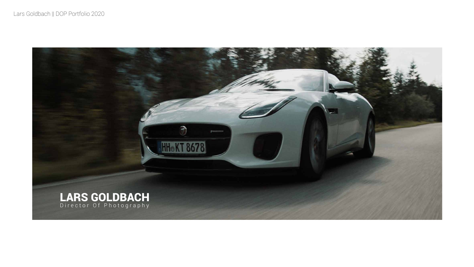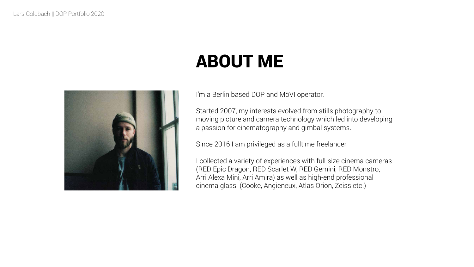## ABOUT ME

I'm a Berlin based DOP and MōVI operator.

Started 2007, my interests evolved from stills photography to moving picture and camera technology which led into developing a passion for cinematography and gimbal systems.

Since 2016 I am privileged as a fulltime freelancer.

 I collected a variety of experiences with full-size cinema cameras (RED Epic Dragon, RED Scarlet W, RED Gemini, RED Monstro, Arri Alexa Mini, Arri Amira) as well as high-end professional cinema glass. (Cooke, Angieneux, Atlas Orion, Zeiss etc.)

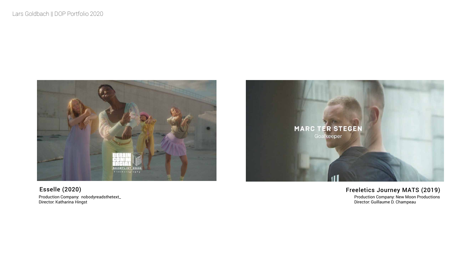

### Esselle (2020) Freeletics Journey MATS (2019)

Production Company: nobodyreadsthetext\_ Director: Katharina Hingst



Production Company: New Moon Productions Director: Guillaume D. Champeau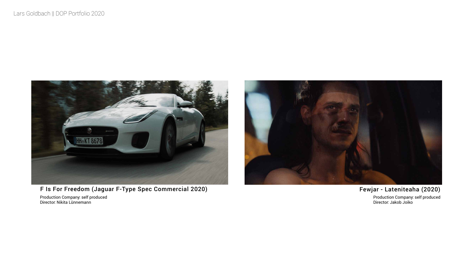### $\mathbf{R}$  H(F $($ )

Production Company: L**KG** Director: Nikita Lünnemann

### Fewjar -  $D(202)$

Production Company: self produced Director: Jakob Joiko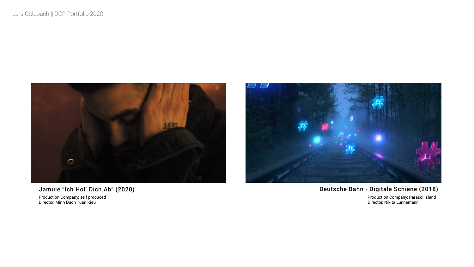

### Jamule "Ich Hol' Dich Ab" (2020) Deutsche Bahn - Digitale Schiene (2018)

Production Company: self produced Director: Minh Duon Tuan Kieu



Production Company: Parasol Island Director: Nikita Lünnemann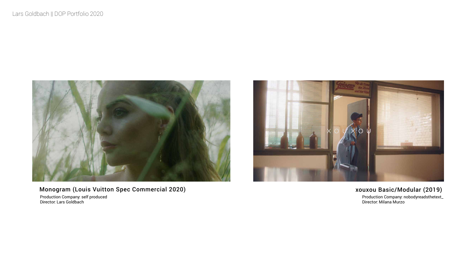

### Monogram (Louis Vuitton Spec Commercial 2020) xouxou Basic/Modular (2019)

Production Company: nobodyreadsthetext\_ Director: Milana Murzo

Production Company: self produced Director: Lars Goldbach

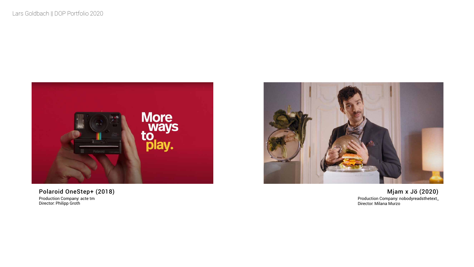

### Polaroid OneStep+ (2018) Mjam x Jö (2020)

Production Company: acte tm Director: Philipp Groth



Production Company: nobodyreadsthetext\_ Director: Milana Murzo